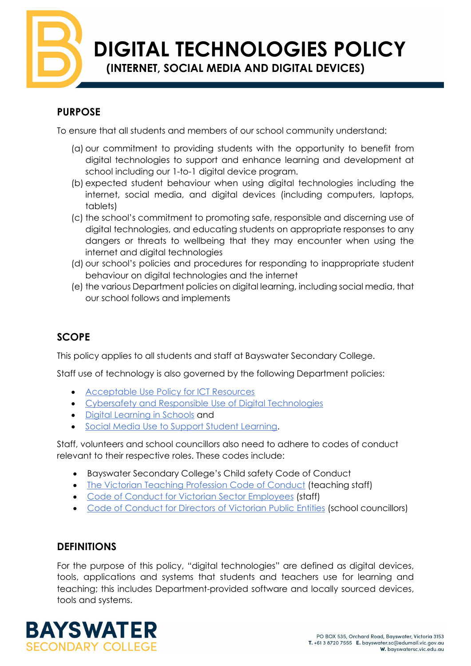**DIGITAL TECHNOLOGIES POLICY**

**(INTERNET, SOCIAL MEDIA AND DIGITAL DEVICES)**

## **PURPOSE**

To ensure that all students and members of our school community understand:

- (a) our commitment to providing students with the opportunity to benefit from digital technologies to support and enhance learning and development at school including our 1-to-1 digital device program.
- (b) expected student behaviour when using digital technologies including the internet, social media, and digital devices (including computers, laptops, tablets)
- (c) the school's commitment to promoting safe, responsible and discerning use of digital technologies, and educating students on appropriate responses to any dangers or threats to wellbeing that they may encounter when using the internet and digital technologies
- (d) our school's policies and procedures for responding to inappropriate student behaviour on digital technologies and the internet
- (e) the various Department policies on digital learning, including social media, that our school follows and implements

# **SCOPE**

This policy applies to all students and staff at Bayswater Secondary College.

Staff use of technology is also governed by the following Department policies:

- [Acceptable Use Policy for ICT Resources](https://www2.education.vic.gov.au/pal/ict-acceptable-use/overview)
- [Cybersafety and Responsible Use of Digital Technologies](https://www2.education.vic.gov.au/pal/cybersafety/policy)
- [Digital Learning in Schools](https://www2.education.vic.gov.au/pal/digital-learning/policy) and
- [Social Media Use to Support Student Learning.](https://www2.education.vic.gov.au/pal/social-media/policy)

Staff, volunteers and school councillors also need to adhere to codes of conduct relevant to their respective roles. These codes include:

- Bayswater Secondary College's Child safety Code of Conduct
- [The Victorian Teaching Profession Code of Conduct](https://www.vit.vic.edu.au/__data/assets/pdf_file/0018/35604/Code-of-Conduct-2016.pdf) (teaching staff)
- [Code of Conduct for Victorian Sector Employees](https://www2.education.vic.gov.au/pal/code-conduct/overview) (staff)
- [Code of Conduct for Directors of Victorian Public Entities](https://www2.education.vic.gov.au/pal/school-council-conduct/policy) (school councillors)

## **DEFINITIONS**

For the purpose of this policy, "digital technologies" are defined as digital devices, tools, applications and systems that students and teachers use for learning and teaching; this includes Department-provided software and locally sourced devices, tools and systems.

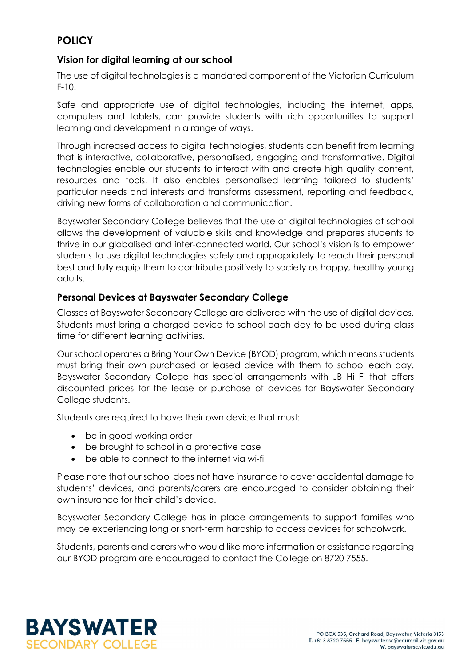### **POLICY**

### **Vision for digital learning at our school**

The use of digital technologies is a mandated component of the Victorian Curriculum  $F-10$ .

Safe and appropriate use of digital technologies, including the internet, apps, computers and tablets, can provide students with rich opportunities to support learning and development in a range of ways.

Through increased access to digital technologies, students can benefit from learning that is interactive, collaborative, personalised, engaging and transformative. Digital technologies enable our students to interact with and create high quality content, resources and tools. It also enables personalised learning tailored to students' particular needs and interests and transforms assessment, reporting and feedback, driving new forms of collaboration and communication.

Bayswater Secondary College believes that the use of digital technologies at school allows the development of valuable skills and knowledge and prepares students to thrive in our globalised and inter-connected world. Our school's vision is to empower students to use digital technologies safely and appropriately to reach their personal best and fully equip them to contribute positively to society as happy, healthy young adults.

### **Personal Devices at Bayswater Secondary College**

Classes at Bayswater Secondary College are delivered with the use of digital devices. Students must bring a charged device to school each day to be used during class time for different learning activities.

Our school operates a Bring Your Own Device (BYOD) program, which means students must bring their own purchased or leased device with them to school each day. Bayswater Secondary College has special arrangements with JB Hi Fi that offers discounted prices for the lease or purchase of devices for Bayswater Secondary College students.

Students are required to have their own device that must:

- be in good working order
- be brought to school in a protective case
- be able to connect to the internet via wi-fi

Please note that our school does not have insurance to cover accidental damage to students' devices, and parents/carers are encouraged to consider obtaining their own insurance for their child's device.

Bayswater Secondary College has in place arrangements to support families who may be experiencing long or short-term hardship to access devices for schoolwork.

Students, parents and carers who would like more information or assistance regarding our BYOD program are encouraged to contact the College on 8720 7555.

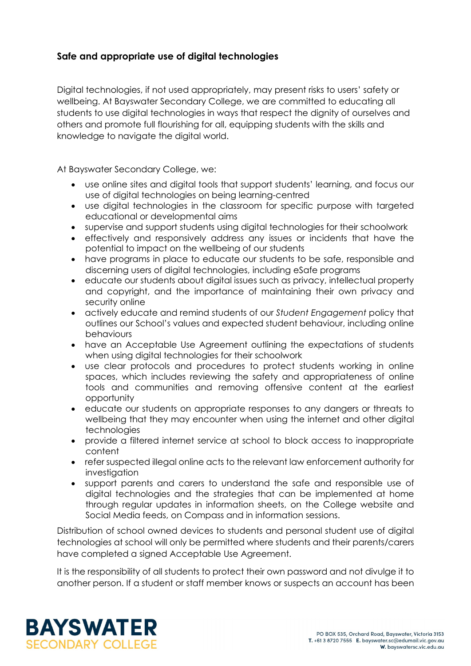### **Safe and appropriate use of digital technologies**

Digital technologies, if not used appropriately, may present risks to users' safety or wellbeing. At Bayswater Secondary College, we are committed to educating all students to use digital technologies in ways that respect the dignity of ourselves and others and promote full flourishing for all, equipping students with the skills and knowledge to navigate the digital world.

At Bayswater Secondary College, we:

- use online sites and digital tools that support students' learning, and focus our use of digital technologies on being learning-centred
- use digital technologies in the classroom for specific purpose with targeted educational or developmental aims
- supervise and support students using digital technologies for their schoolwork
- effectively and responsively address any issues or incidents that have the potential to impact on the wellbeing of our students
- have programs in place to educate our students to be safe, responsible and discerning users of digital technologies, including eSafe programs
- educate our students about digital issues such as privacy, intellectual property and copyright, and the importance of maintaining their own privacy and security online
- actively educate and remind students of our *Student Engagement* policy that outlines our School's values and expected student behaviour, including online behaviours
- have an Acceptable Use Agreement outlining the expectations of students when using digital technologies for their schoolwork
- use clear protocols and procedures to protect students working in online spaces, which includes reviewing the safety and appropriateness of online tools and communities and removing offensive content at the earliest opportunity
- educate our students on appropriate responses to any dangers or threats to wellbeing that they may encounter when using the internet and other digital technologies
- provide a filtered internet service at school to block access to inappropriate content
- refer suspected illegal online acts to the relevant law enforcement authority for investiaation
- support parents and carers to understand the safe and responsible use of digital technologies and the strategies that can be implemented at home through regular updates in information sheets, on the College website and Social Media feeds, on Compass and in information sessions.

Distribution of school owned devices to students and personal student use of digital technologies at school will only be permitted where students and their parents/carers have completed a signed Acceptable Use Agreement.

It is the responsibility of all students to protect their own password and not divulge it to another person. If a student or staff member knows or suspects an account has been

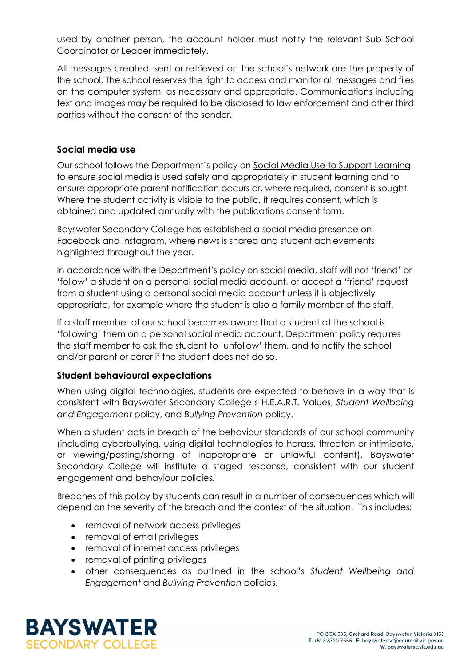used by another person, the account holder must notify the relevant Sub School Coordinator or Leader immediately.

All messages created, sent or retrieved on the school's network are the property of the school. The school reserves the right to access and monitor all messages and files on the computer system, as necessary and appropriate. Communications including text and images may be required to be disclosed to law enforcement and other third parties without the consent of the sender.

#### **Social media use**

Our school follows the Department's policy on [Social Media Use to Support Learning](https://www2.education.vic.gov.au/pal/social-media/policy) to ensure social media is used safely and appropriately in student learning and to ensure appropriate parent notification occurs or, where required, consent is sought. Where the student activity is visible to the public, it requires consent, which is obtained and updated annually with the publications consent form.

Bayswater Secondary College has established a social media presence on Facebook and Instagram, where news is shared and student achievements highlighted throughout the year.

In accordance with the Department's policy on social media, staff will not 'friend' or 'follow' a student on a personal social media account, or accept a 'friend' request from a student using a personal social media account unless it is objectively appropriate, for example where the student is also a family member of the staff.

If a staff member of our school becomes aware that a student at the school is 'following' them on a personal social media account, Department policy requires the staff member to ask the student to 'unfollow' them, and to notify the school and/or parent or carer if the student does not do so.

#### **Student behavioural expectations**

When using digital technologies, students are expected to behave in a way that is consistent with Bayswater Secondary College's H.E.A.R.T. Values, *Student Wellbeing and Engagement* policy, and *Bullying Prevention* policy.

When a student acts in breach of the behaviour standards of our school community (including cyberbullying, using digital technologies to harass, threaten or intimidate, or viewing/posting/sharing of inappropriate or unlawful content), Bayswater Secondary College will institute a staged response, consistent with our student engagement and behaviour policies*.*

Breaches of this policy by students can result in a number of consequences which will depend on the severity of the breach and the context of the situation. This includes:

- removal of network access privileges
- removal of email privileges
- removal of internet access privileges
- removal of printing privileges
- other consequences as outlined in the school's *Student Wellbeing and Engagement* and *Bullying Prevention* policies.

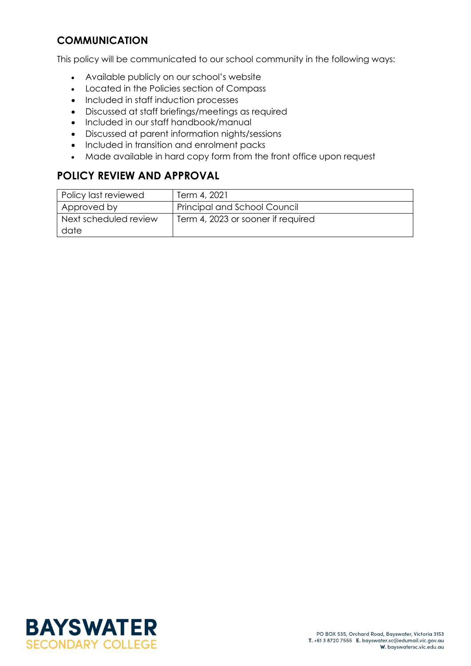### **COMMUNICATION**

This policy will be communicated to our school community in the following ways:

- Available publicly on our school's website
- Located in the Policies section of Compass
- Included in staff induction processes
- Discussed at staff briefings/meetings as required
- Included in our staff handbook/manual
- Discussed at parent information nights/sessions
- Included in transition and enrolment packs
- Made available in hard copy form from the front office upon request

# **POLICY REVIEW AND APPROVAL**

| Policy last reviewed          | Term 4, 2021                        |
|-------------------------------|-------------------------------------|
| Approved by                   | <b>Principal and School Council</b> |
| Next scheduled review<br>date | Term 4, 2023 or sooner if required  |